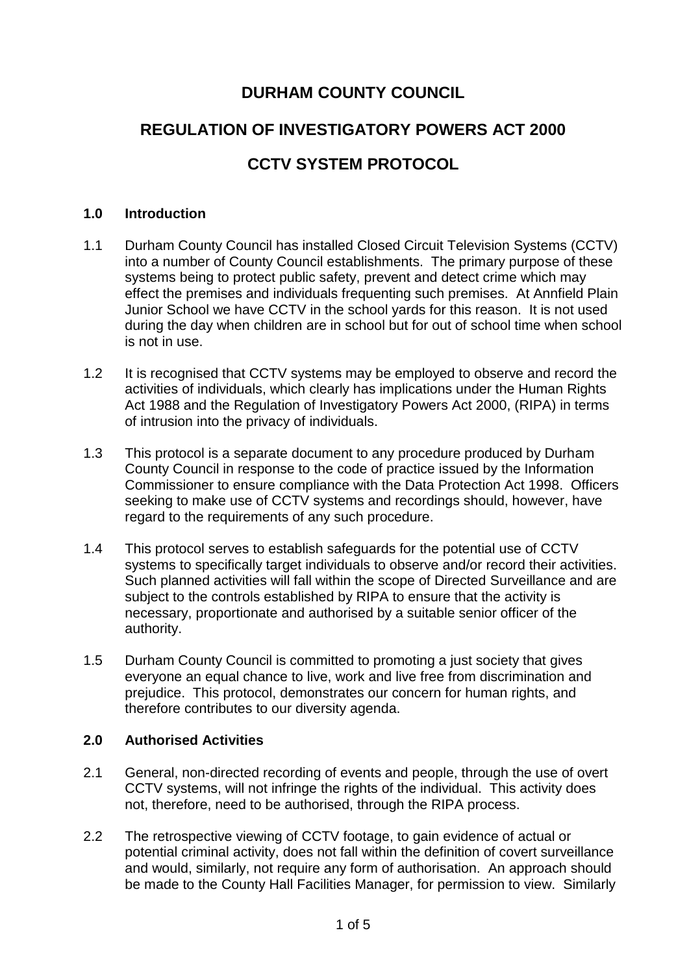# **DURHAM COUNTY COUNCIL**

# **REGULATION OF INVESTIGATORY POWERS ACT 2000**

# **CCTV SYSTEM PROTOCOL**

#### **1.0 Introduction**

- 1.1 Durham County Council has installed Closed Circuit Television Systems (CCTV) into a number of County Council establishments. The primary purpose of these systems being to protect public safety, prevent and detect crime which may effect the premises and individuals frequenting such premises. At Annfield Plain Junior School we have CCTV in the school yards for this reason. It is not used during the day when children are in school but for out of school time when school is not in use.
- 1.2 It is recognised that CCTV systems may be employed to observe and record the activities of individuals, which clearly has implications under the Human Rights Act 1988 and the Regulation of Investigatory Powers Act 2000, (RIPA) in terms of intrusion into the privacy of individuals.
- 1.3 This protocol is a separate document to any procedure produced by Durham County Council in response to the code of practice issued by the Information Commissioner to ensure compliance with the Data Protection Act 1998. Officers seeking to make use of CCTV systems and recordings should, however, have regard to the requirements of any such procedure.
- 1.4 This protocol serves to establish safeguards for the potential use of CCTV systems to specifically target individuals to observe and/or record their activities. Such planned activities will fall within the scope of Directed Surveillance and are subject to the controls established by RIPA to ensure that the activity is necessary, proportionate and authorised by a suitable senior officer of the authority.
- 1.5 Durham County Council is committed to promoting a just society that gives everyone an equal chance to live, work and live free from discrimination and prejudice. This protocol, demonstrates our concern for human rights, and therefore contributes to our diversity agenda.

#### **2.0 Authorised Activities**

- 2.1 General, non-directed recording of events and people, through the use of overt CCTV systems, will not infringe the rights of the individual. This activity does not, therefore, need to be authorised, through the RIPA process.
- 2.2 The retrospective viewing of CCTV footage, to gain evidence of actual or potential criminal activity, does not fall within the definition of covert surveillance and would, similarly, not require any form of authorisation. An approach should be made to the County Hall Facilities Manager, for permission to view. Similarly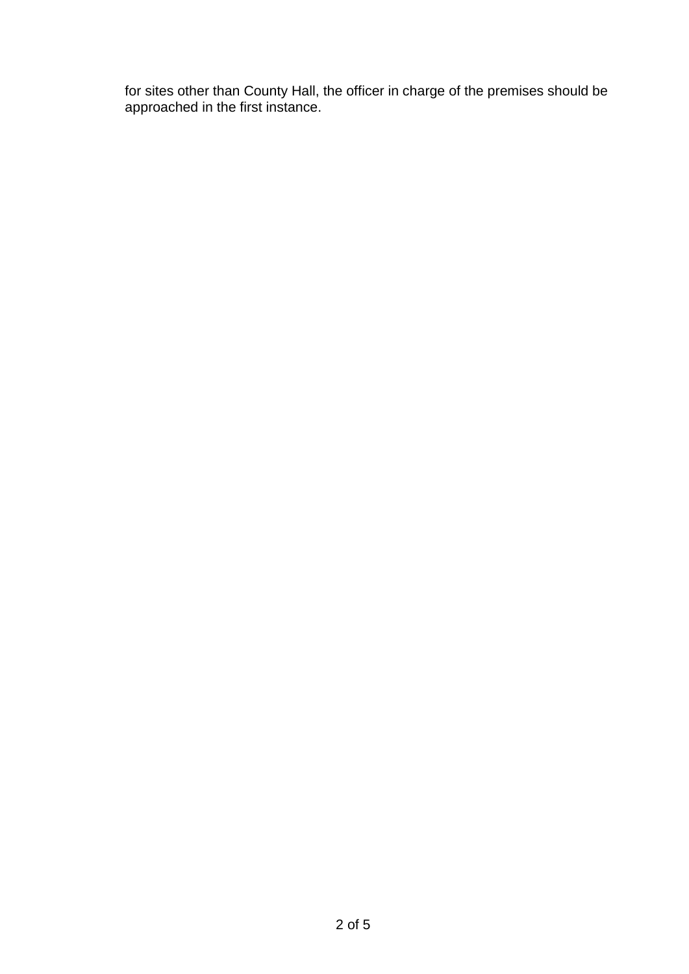for sites other than County Hall, the officer in charge of the premises should be approached in the first instance.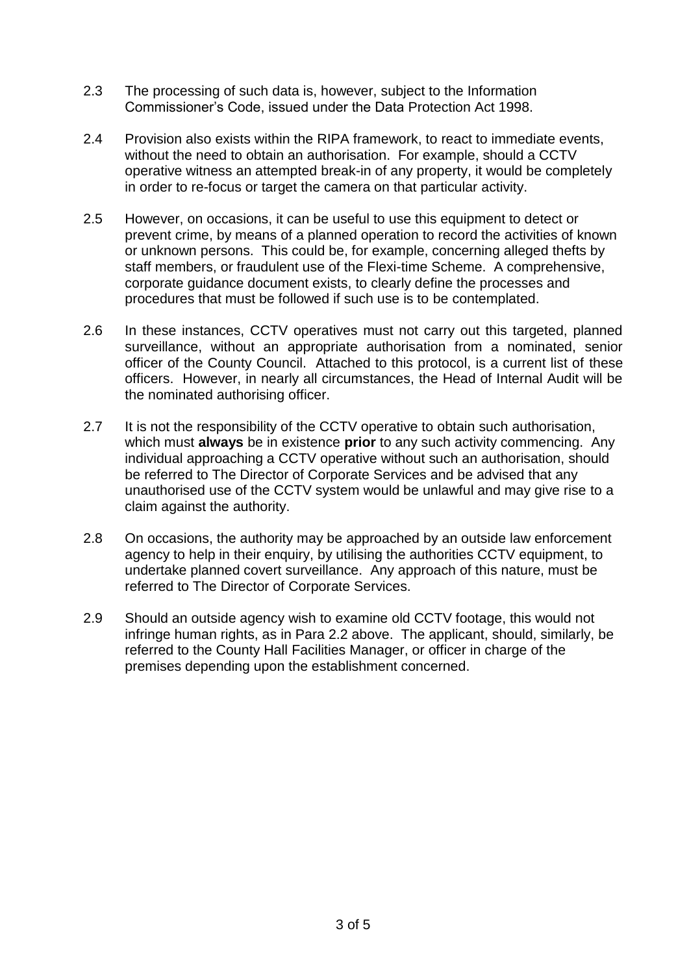- 2.3 The processing of such data is, however, subject to the Information Commissioner's Code, issued under the Data Protection Act 1998.
- 2.4 Provision also exists within the RIPA framework, to react to immediate events, without the need to obtain an authorisation. For example, should a CCTV operative witness an attempted break-in of any property, it would be completely in order to re-focus or target the camera on that particular activity.
- 2.5 However, on occasions, it can be useful to use this equipment to detect or prevent crime, by means of a planned operation to record the activities of known or unknown persons. This could be, for example, concerning alleged thefts by staff members, or fraudulent use of the Flexi-time Scheme. A comprehensive, corporate guidance document exists, to clearly define the processes and procedures that must be followed if such use is to be contemplated.
- 2.6 In these instances, CCTV operatives must not carry out this targeted, planned surveillance, without an appropriate authorisation from a nominated, senior officer of the County Council. Attached to this protocol, is a current list of these officers. However, in nearly all circumstances, the Head of Internal Audit will be the nominated authorising officer.
- 2.7 It is not the responsibility of the CCTV operative to obtain such authorisation, which must **always** be in existence **prior** to any such activity commencing. Any individual approaching a CCTV operative without such an authorisation, should be referred to The Director of Corporate Services and be advised that any unauthorised use of the CCTV system would be unlawful and may give rise to a claim against the authority.
- 2.8 On occasions, the authority may be approached by an outside law enforcement agency to help in their enquiry, by utilising the authorities CCTV equipment, to undertake planned covert surveillance. Any approach of this nature, must be referred to The Director of Corporate Services.
- 2.9 Should an outside agency wish to examine old CCTV footage, this would not infringe human rights, as in Para 2.2 above. The applicant, should, similarly, be referred to the County Hall Facilities Manager, or officer in charge of the premises depending upon the establishment concerned.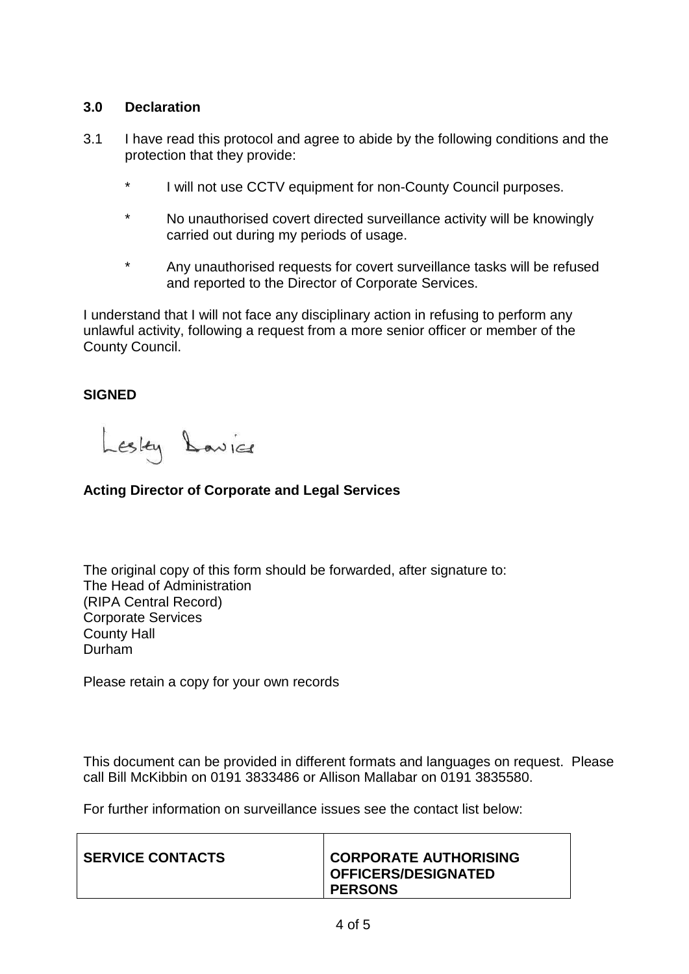#### **3.0 Declaration**

- 3.1 I have read this protocol and agree to abide by the following conditions and the protection that they provide:
	- \* I will not use CCTV equipment for non-County Council purposes.
	- \* No unauthorised covert directed surveillance activity will be knowingly carried out during my periods of usage.
	- \* Any unauthorised requests for covert surveillance tasks will be refused and reported to the Director of Corporate Services.

I understand that I will not face any disciplinary action in refusing to perform any unlawful activity, following a request from a more senior officer or member of the County Council.

## **SIGNED**

Lesley Lavice

## **Acting Director of Corporate and Legal Services**

The original copy of this form should be forwarded, after signature to: The Head of Administration (RIPA Central Record) Corporate Services County Hall Durham

Please retain a copy for your own records

This document can be provided in different formats and languages on request. Please call Bill McKibbin on 0191 3833486 or Allison Mallabar on 0191 3835580.

For further information on surveillance issues see the contact list below:

| <b>SERVICE CONTACTS</b> | <b>CORPORATE AUTHORISING</b><br><b>OFFICERS/DESIGNATED</b> |
|-------------------------|------------------------------------------------------------|
|                         | <b>PERSONS</b>                                             |